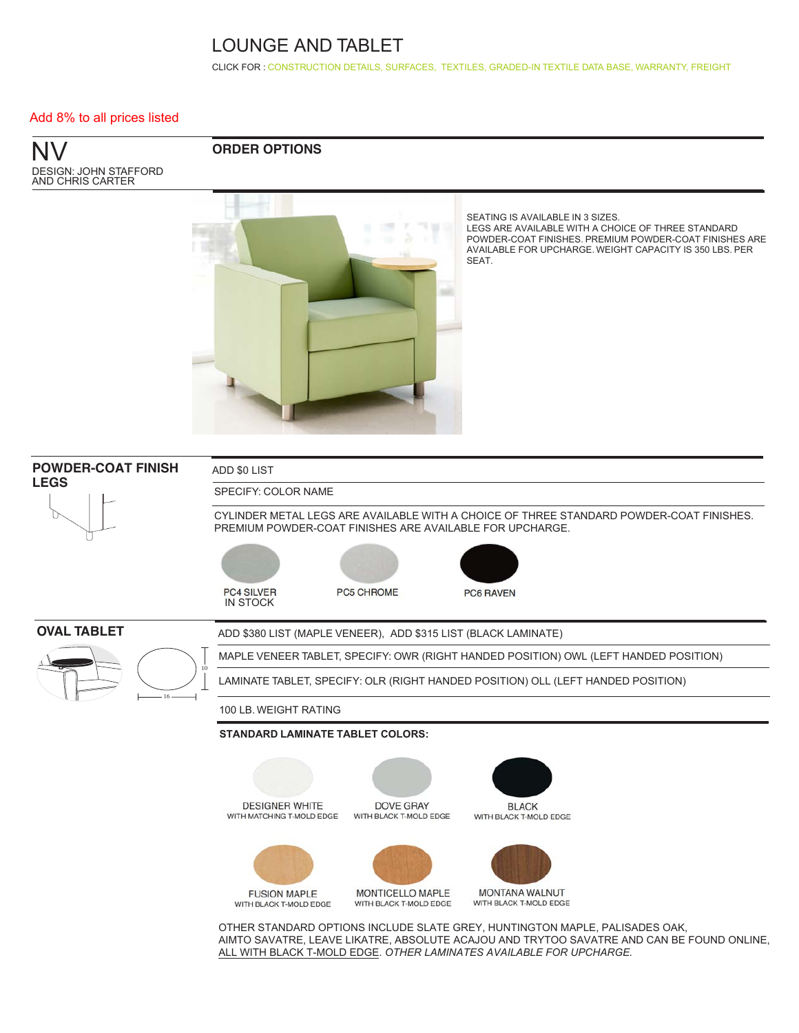CLICK FOR : [CONSTRUCTION DETAILS,](http://www.ekocontract.com/lounge-tables-seating/nv) [SURFACES,](http://www.ekocontract.com/surfaces) [TEXTILES,](http://www.ekocontract.com/fabrics) [GRADED-IN TEXTILE DATA BASE,](http://www.ekocontract.com/resources/surface-materials/surface-materials-database) [WARRANTY, FREIGHT](http://www.ekocontract.com/files/resources/2015_EKO_Terms__Conditions.pdf)

#### Add 8% to all prices listed

NV DESIGN: JOHN STAFFORD AND CHRIS CARTER

### **ORDER OPTIONS**



SEATING IS AVAILABLE IN 3 SIZES. LEGS ARE AVAILABLE WITH A CHOICE OF THREE STANDARD POWDER-COAT FINISHES. PREMIUM POWDER-COAT FINISHES ARE AVAILABLE FOR UPCHARGE. WEIGHT CAPACITY IS 350 LBS. PER SEAT.



OTHER STANDARD OPTIONS INCLUDE SLATE GREY, HUNTINGTON MAPLE, PALISADES OAK, AIMTO SAVATRE, LEAVE LIKATRE, ABSOLUTE ACAJOU AND TRYTOO SAVATRE AND CAN BE FOUND ONLINE, ALL WITH BLACK T-MOLD EDGE. *OTHER LAMINATES AVAILABLE FOR UPCHARGE.*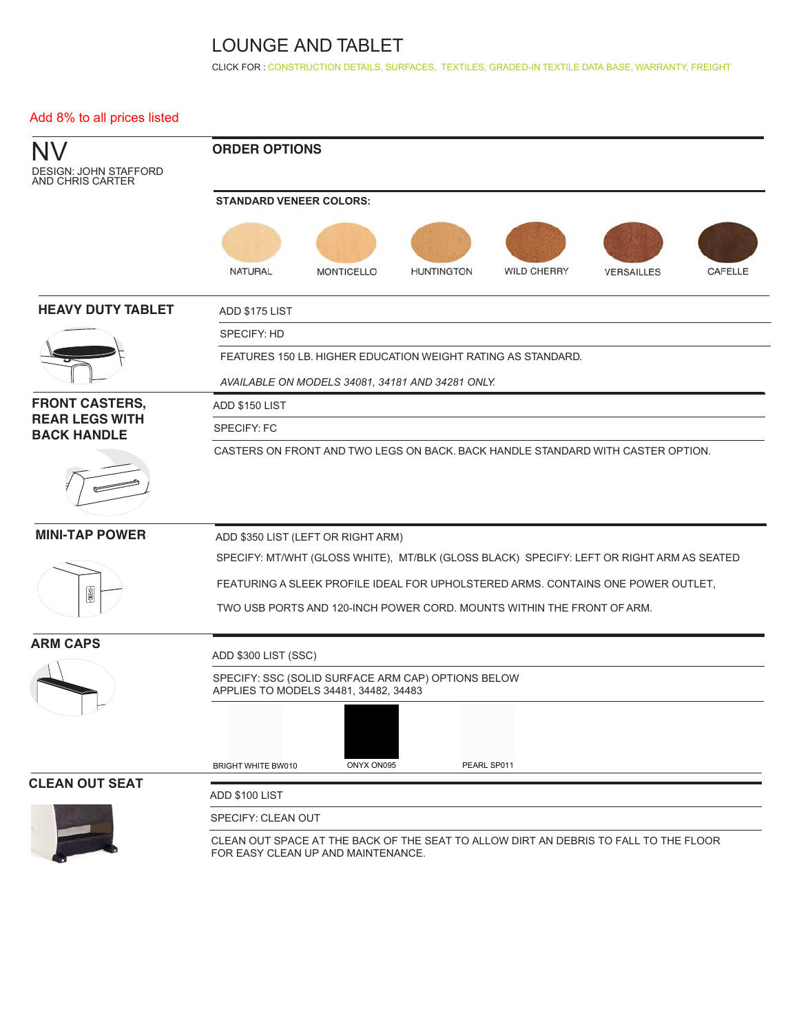CLICK FOR : [CONSTRUCTION DETAILS,](http://www.ekocontract.com/lounge-tables-seating/nv) [SURFACES,](http://www.ekocontract.com/surfaces) [TEXTILES,](http://www.ekocontract.com/fabrics) [GRADED-IN TEXTILE DATA BASE,](http://www.ekocontract.com/resources/surface-materials/surface-materials-database) [WARRANTY, FREIGHT](http://www.ekocontract.com/files/resources/2015_EKO_Terms__Conditions.pdf)

### Add 8% to all prices listed

| DESIGN: JOHN STAFFORD<br>AND CHRIS CARTER   | <b>ORDER OPTIONS</b><br><b>STANDARD VENEER COLORS:</b>                                                                     |  |  |  |  |  |  |  |  |  |  |  |
|---------------------------------------------|----------------------------------------------------------------------------------------------------------------------------|--|--|--|--|--|--|--|--|--|--|--|
|                                             |                                                                                                                            |  |  |  |  |  |  |  |  |  |  |  |
|                                             | <b>NATURAL</b><br><b>WILD CHERRY</b><br><b>MONTICELLO</b><br><b>HUNTINGTON</b><br><b>VERSAILLES</b><br><b>CAFELLE</b>      |  |  |  |  |  |  |  |  |  |  |  |
| <b>HEAVY DUTY TABLET</b>                    | ADD \$175 LIST                                                                                                             |  |  |  |  |  |  |  |  |  |  |  |
|                                             | SPECIFY: HD                                                                                                                |  |  |  |  |  |  |  |  |  |  |  |
|                                             | FEATURES 150 LB. HIGHER EDUCATION WEIGHT RATING AS STANDARD.                                                               |  |  |  |  |  |  |  |  |  |  |  |
|                                             | AVAILABLE ON MODELS 34081, 34181 AND 34281 ONLY.                                                                           |  |  |  |  |  |  |  |  |  |  |  |
| <b>FRONT CASTERS,</b>                       | ADD \$150 LIST                                                                                                             |  |  |  |  |  |  |  |  |  |  |  |
| <b>REAR LEGS WITH</b><br><b>BACK HANDLE</b> | <b>SPECIFY: FC</b>                                                                                                         |  |  |  |  |  |  |  |  |  |  |  |
|                                             | CASTERS ON FRONT AND TWO LEGS ON BACK, BACK HANDLE STANDARD WITH CASTER OPTION.                                            |  |  |  |  |  |  |  |  |  |  |  |
| <b>MINI-TAP POWER</b>                       | ADD \$350 LIST (LEFT OR RIGHT ARM)                                                                                         |  |  |  |  |  |  |  |  |  |  |  |
|                                             | SPECIFY: MT/WHT (GLOSS WHITE), MT/BLK (GLOSS BLACK) SPECIFY: LEFT OR RIGHT ARM AS SEATED                                   |  |  |  |  |  |  |  |  |  |  |  |
|                                             | FEATURING A SLEEK PROFILE IDEAL FOR UPHOLSTERED ARMS. CONTAINS ONE POWER OUTLET,                                           |  |  |  |  |  |  |  |  |  |  |  |
| Ó                                           | TWO USB PORTS AND 120-INCH POWER CORD. MOUNTS WITHIN THE FRONT OF ARM.                                                     |  |  |  |  |  |  |  |  |  |  |  |
| <b>ARM CAPS</b>                             | ADD \$300 LIST (SSC)                                                                                                       |  |  |  |  |  |  |  |  |  |  |  |
|                                             | SPECIFY: SSC (SOLID SURFACE ARM CAP) OPTIONS BELOW<br>APPLIES TO MODELS 34481, 34482, 34483                                |  |  |  |  |  |  |  |  |  |  |  |
|                                             | ONYX ON095<br>PEARL SP011<br><b>BRIGHT WHITE BW010</b>                                                                     |  |  |  |  |  |  |  |  |  |  |  |
| <b>CLEAN OUT SEAT</b>                       |                                                                                                                            |  |  |  |  |  |  |  |  |  |  |  |
|                                             | ADD \$100 LIST                                                                                                             |  |  |  |  |  |  |  |  |  |  |  |
|                                             | SPECIFY: CLEAN OUT                                                                                                         |  |  |  |  |  |  |  |  |  |  |  |
|                                             | CLEAN OUT SPACE AT THE BACK OF THE SEAT TO ALLOW DIRT AN DEBRIS TO FALL TO THE FLOOR<br>FOR EASY CLEAN UP AND MAINTENANCE. |  |  |  |  |  |  |  |  |  |  |  |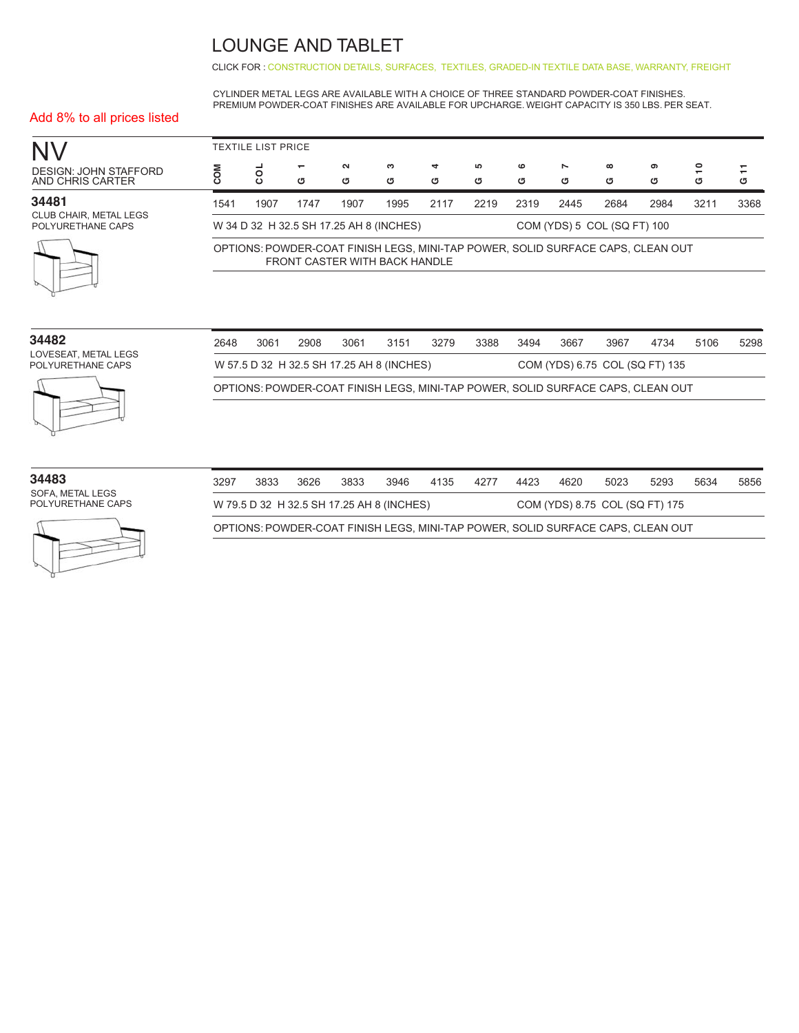CLICK FOR : [CONSTRUCTION DETAILS,](http://www.ekocontract.com/lounge-tables-seating/nv) [SURFACES,](http://www.ekocontract.com/surfaces) [TEXTILES,](http://www.ekocontract.com/fabrics) [GRADED-IN TEXTILE DATA BASE,](http://www.ekocontract.com/resources/surface-materials/surface-materials-database) [WARRANTY, FREIGHT](http://www.ekocontract.com/files/resources/2015_EKO_Terms__Conditions.pdf)

CYLINDER METAL LEGS ARE AVAILABLE WITH A CHOICE OF THREE STANDARD POWDER-COAT FINISHES. PREMIUM POWDER-COAT FINISHES ARE AVAILABLE FOR UPCHARGE. WEIGHT CAPACITY IS 350 LBS. PER SEAT.

### Add 8% to all prices listed

|                                                    |                                                                                                                  | <b>TEXTILE LIST PRICE</b> |      |             |        |        |        |                |        |               |        |         |        |
|----------------------------------------------------|------------------------------------------------------------------------------------------------------------------|---------------------------|------|-------------|--------|--------|--------|----------------|--------|---------------|--------|---------|--------|
| DESIGN: JOHN STAFFORD<br>AND CHRIS CARTER          |                                                                                                                  | $\circ$<br>$\circ$        | ය    | $\sim$<br>ত | ຕ<br>ত | 4<br>σ | 5<br>ය | $\bullet$<br>G | Z<br>ত | $\infty$<br>σ | ຶ<br>G | °,<br>৩ | ↽<br>σ |
| 34481                                              | 1541                                                                                                             | 1907                      | 1747 | 1907        | 1995   | 2117   | 2219   | 2319           | 2445   | 2684          | 2984   | 3211    | 3368   |
| <b>CLUB CHAIR, METAL LEGS</b><br>POLYURETHANE CAPS | COM (YDS) 5 COL (SQ FT) 100<br>W 34 D 32 H 32.5 SH 17.25 AH 8 (INCHES)                                           |                           |      |             |        |        |        |                |        |               |        |         |        |
|                                                    | OPTIONS: POWDER-COAT FINISH LEGS, MINI-TAP POWER, SOLID SURFACE CAPS, CLEAN OUT<br>FRONT CASTER WITH BACK HANDLE |                           |      |             |        |        |        |                |        |               |        |         |        |
|                                                    |                                                                                                                  |                           |      |             |        |        |        |                |        |               |        |         |        |

| 34482                                     | 2648 | 3061                                                                        | 2908 | 3061 | 3151 | 3279 | 3388 | 3494 | 3667 | 3967                                                                            | 4734 | 5106 | 5298 |
|-------------------------------------------|------|-----------------------------------------------------------------------------|------|------|------|------|------|------|------|---------------------------------------------------------------------------------|------|------|------|
| LOVESEAT, METAL LEGS<br>POLYURETHANE CAPS |      | W 57.5 D 32 H 32.5 SH 17.25 AH 8 (INCHES)<br>COM (YDS) 6.75 COL (SQ FT) 135 |      |      |      |      |      |      |      |                                                                                 |      |      |      |
|                                           |      |                                                                             |      |      |      |      |      |      |      | OPTIONS: POWDER-COAT FINISH LEGS, MINI-TAP POWER, SOLID SURFACE CAPS, CLEAN OUT |      |      |      |
|                                           |      |                                                                             |      |      |      |      |      |      |      |                                                                                 |      |      |      |

| 34483 |                  |  |
|-------|------------------|--|
|       | SOFA, METAL LEGS |  |

POLYURETHANE CAPS



| 3297                                                                            | 3833 | 3626 | 3833 | 3946 | 4135 | 4277 | 4423 | 4620 | 5023 | 5293 | 5634 | 5856 |
|---------------------------------------------------------------------------------|------|------|------|------|------|------|------|------|------|------|------|------|
| W 79.5 D 32 H 32.5 SH 17.25 AH 8 (INCHES)<br>COM (YDS) 8.75 COL (SQ FT) 175     |      |      |      |      |      |      |      |      |      |      |      |      |
| OPTIONS: POWDER-COAT FINISH LEGS, MINI-TAP POWER, SOLID SURFACE CAPS, CLEAN OUT |      |      |      |      |      |      |      |      |      |      |      |      |